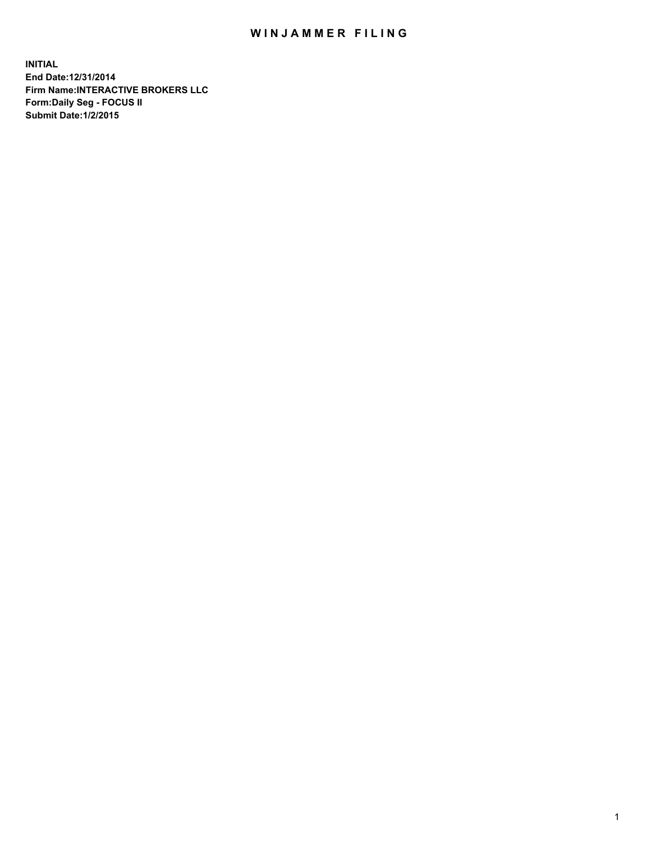## WIN JAMMER FILING

**INITIAL End Date:12/31/2014 Firm Name:INTERACTIVE BROKERS LLC Form:Daily Seg - FOCUS II Submit Date:1/2/2015**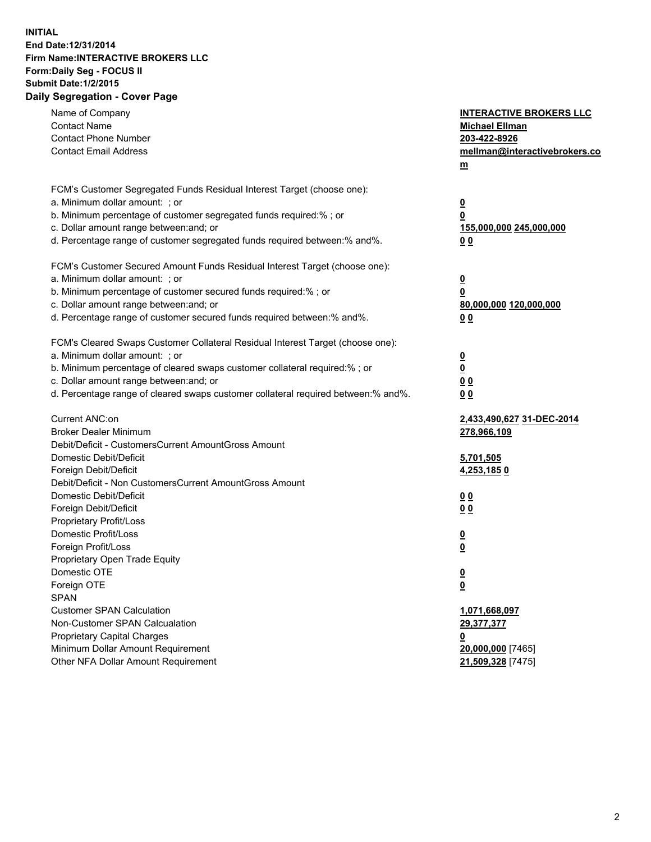## **INITIAL End Date:12/31/2014 Firm Name:INTERACTIVE BROKERS LLC Form:Daily Seg - FOCUS II Submit Date:1/2/2015 Daily Segregation - Cover Page**

| Name of Company<br><b>Contact Name</b><br><b>Contact Phone Number</b><br><b>Contact Email Address</b>                                                                                                                                                                                                                          | <b>INTERACTIVE BROKERS LLC</b><br><b>Michael Ellman</b><br>203-422-8926<br>mellman@interactivebrokers.co<br>m |
|--------------------------------------------------------------------------------------------------------------------------------------------------------------------------------------------------------------------------------------------------------------------------------------------------------------------------------|---------------------------------------------------------------------------------------------------------------|
| FCM's Customer Segregated Funds Residual Interest Target (choose one):<br>a. Minimum dollar amount: ; or<br>b. Minimum percentage of customer segregated funds required:% ; or<br>c. Dollar amount range between: and; or<br>d. Percentage range of customer segregated funds required between:% and%.                         | $\overline{\mathbf{0}}$<br>0<br>155,000,000 245,000,000<br>00                                                 |
| FCM's Customer Secured Amount Funds Residual Interest Target (choose one):<br>a. Minimum dollar amount: ; or<br>b. Minimum percentage of customer secured funds required:% ; or<br>c. Dollar amount range between: and; or<br>d. Percentage range of customer secured funds required between:% and%.                           | <u>0</u><br>0<br>80,000,000 120,000,000<br>00                                                                 |
| FCM's Cleared Swaps Customer Collateral Residual Interest Target (choose one):<br>a. Minimum dollar amount: ; or<br>b. Minimum percentage of cleared swaps customer collateral required:% ; or<br>c. Dollar amount range between: and; or<br>d. Percentage range of cleared swaps customer collateral required between:% and%. | $\overline{\mathbf{0}}$<br>$\underline{\mathbf{0}}$<br>0 <sub>0</sub><br>0 <sub>0</sub>                       |
| Current ANC:on<br><b>Broker Dealer Minimum</b><br>Debit/Deficit - CustomersCurrent AmountGross Amount<br>Domestic Debit/Deficit<br>Foreign Debit/Deficit                                                                                                                                                                       | 2,433,490,627 31-DEC-2014<br>278,966,109<br>5,701,505<br>4,253,1850                                           |
| Debit/Deficit - Non CustomersCurrent AmountGross Amount<br>Domestic Debit/Deficit<br>Foreign Debit/Deficit<br>Proprietary Profit/Loss<br>Domestic Profit/Loss<br>Foreign Profit/Loss                                                                                                                                           | 0 <sub>0</sub><br>0 <sub>0</sub><br>$\overline{\mathbf{0}}$<br>$\underline{\mathbf{0}}$                       |
| Proprietary Open Trade Equity<br>Domestic OTE<br>Foreign OTE<br><b>SPAN</b><br><b>Customer SPAN Calculation</b><br>Non-Customer SPAN Calcualation                                                                                                                                                                              | $\underline{\mathbf{0}}$<br>$\underline{\mathbf{0}}$<br>1,071,668,097<br>29,377,377                           |
| <b>Proprietary Capital Charges</b><br>Minimum Dollar Amount Requirement<br>Other NFA Dollar Amount Requirement                                                                                                                                                                                                                 | <u>0</u><br>20,000,000 [7465]<br>21,509,328 [7475]                                                            |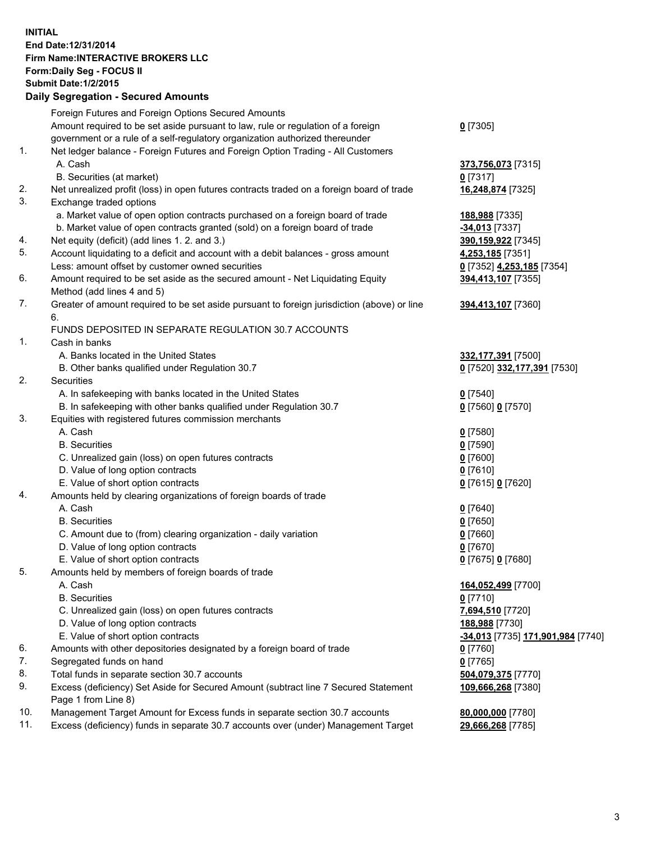## **INITIAL End Date:12/31/2014 Firm Name:INTERACTIVE BROKERS LLC Form:Daily Seg - FOCUS II Submit Date:1/2/2015 Daily Segregation - Secured Amounts**

|     | Foreign Futures and Foreign Options Secured Amounts                                                        |                                                       |
|-----|------------------------------------------------------------------------------------------------------------|-------------------------------------------------------|
|     | Amount required to be set aside pursuant to law, rule or regulation of a foreign                           | $0$ [7305]                                            |
|     | government or a rule of a self-regulatory organization authorized thereunder                               |                                                       |
| 1.  | Net ledger balance - Foreign Futures and Foreign Option Trading - All Customers                            |                                                       |
|     | A. Cash                                                                                                    | 373,756,073 [7315]                                    |
|     | B. Securities (at market)                                                                                  | $0$ [7317]                                            |
| 2.  | Net unrealized profit (loss) in open futures contracts traded on a foreign board of trade                  | 16,248,874 [7325]                                     |
| 3.  | Exchange traded options                                                                                    |                                                       |
|     | a. Market value of open option contracts purchased on a foreign board of trade                             | 188,988 [7335]                                        |
|     | b. Market value of open contracts granted (sold) on a foreign board of trade                               | <mark>-34,013</mark> [7337]                           |
| 4.  | Net equity (deficit) (add lines 1.2. and 3.)                                                               | 390,159,922 [7345]                                    |
| 5.  | Account liquidating to a deficit and account with a debit balances - gross amount                          | 4,253,185 [7351]                                      |
|     | Less: amount offset by customer owned securities                                                           | 0 [7352] 4,253,185 [7354]                             |
| 6.  | Amount required to be set aside as the secured amount - Net Liquidating Equity                             | 394,413,107 [7355]                                    |
|     | Method (add lines 4 and 5)                                                                                 |                                                       |
| 7.  | Greater of amount required to be set aside pursuant to foreign jurisdiction (above) or line                | 394,413,107 [7360]                                    |
|     | 6.                                                                                                         |                                                       |
|     | FUNDS DEPOSITED IN SEPARATE REGULATION 30.7 ACCOUNTS                                                       |                                                       |
| 1.  | Cash in banks                                                                                              |                                                       |
|     | A. Banks located in the United States                                                                      | 332,177,391 [7500]                                    |
|     | B. Other banks qualified under Regulation 30.7                                                             | 0 [7520] 332,177,391 [7530]                           |
| 2.  | Securities                                                                                                 |                                                       |
|     | A. In safekeeping with banks located in the United States                                                  | $Q$ [7540]                                            |
|     | B. In safekeeping with other banks qualified under Regulation 30.7                                         | 0 [7560] 0 [7570]                                     |
| 3.  | Equities with registered futures commission merchants                                                      |                                                       |
|     | A. Cash                                                                                                    | $Q$ [7580]                                            |
|     | <b>B.</b> Securities                                                                                       | $0$ [7590]                                            |
|     | C. Unrealized gain (loss) on open futures contracts                                                        | $0$ [7600]                                            |
|     | D. Value of long option contracts                                                                          | $0$ [7610]                                            |
|     | E. Value of short option contracts                                                                         | 0 [7615] 0 [7620]                                     |
| 4.  | Amounts held by clearing organizations of foreign boards of trade                                          |                                                       |
|     | A. Cash                                                                                                    | $Q$ [7640]                                            |
|     | <b>B.</b> Securities                                                                                       | $0$ [7650]                                            |
|     | C. Amount due to (from) clearing organization - daily variation                                            | $0$ [7660]                                            |
|     | D. Value of long option contracts                                                                          | $0$ [7670]                                            |
|     | E. Value of short option contracts                                                                         | 0 [7675] 0 [7680]                                     |
| 5.  | Amounts held by members of foreign boards of trade                                                         |                                                       |
|     | A. Cash                                                                                                    | 164,052,499 [7700]                                    |
|     | <b>B.</b> Securities                                                                                       | $0$ [7710]                                            |
|     | C. Unrealized gain (loss) on open futures contracts                                                        | 7,694,510 [7720]                                      |
|     | D. Value of long option contracts                                                                          | 188,988 [7730]                                        |
|     | E. Value of short option contracts                                                                         | <mark>-34,013</mark> [7735] <u>171,901,984</u> [7740] |
| 6.  | Amounts with other depositories designated by a foreign board of trade                                     | $0$ [7760]                                            |
| 7.  | Segregated funds on hand                                                                                   | $0$ [7765]                                            |
| 8.  | Total funds in separate section 30.7 accounts                                                              | 504,079,375 [7770]                                    |
| 9.  | Excess (deficiency) Set Aside for Secured Amount (subtract line 7 Secured Statement<br>Page 1 from Line 8) | 109,666,268 [7380]                                    |
| 10. | Management Target Amount for Excess funds in separate section 30.7 accounts                                | 80,000,000 [7780]                                     |
| 11. | Excess (deficiency) funds in separate 30.7 accounts over (under) Management Target                         | 29,666,268 [7785]                                     |
|     |                                                                                                            |                                                       |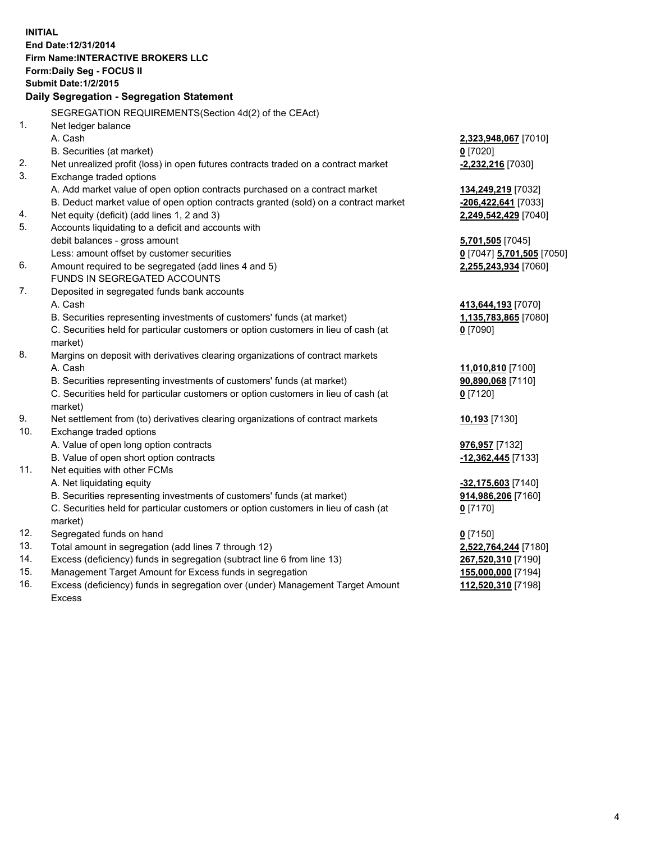**INITIAL End Date:12/31/2014 Firm Name:INTERACTIVE BROKERS LLC Form:Daily Seg - FOCUS II Submit Date:1/2/2015 Daily Segregation - Segregation Statement** SEGREGATION REQUIREMENTS(Section 4d(2) of the CEAct) 1. Net ledger balance A. Cash **2,323,948,067** [7010] B. Securities (at market) **0** [7020] 2. Net unrealized profit (loss) in open futures contracts traded on a contract market **-2,232,216** [7030] 3. Exchange traded options A. Add market value of open option contracts purchased on a contract market **134,249,219** [7032] B. Deduct market value of open option contracts granted (sold) on a contract market **-206,422,641** [7033] 4. Net equity (deficit) (add lines 1, 2 and 3) **2,249,542,429** [7040] 5. Accounts liquidating to a deficit and accounts with debit balances - gross amount **5,701,505** [7045] Less: amount offset by customer securities **0** [7047] **5,701,505** [7050] 6. Amount required to be segregated (add lines 4 and 5) **2,255,243,934** [7060] FUNDS IN SEGREGATED ACCOUNTS 7. Deposited in segregated funds bank accounts A. Cash **413,644,193** [7070] B. Securities representing investments of customers' funds (at market) **1,135,783,865** [7080] C. Securities held for particular customers or option customers in lieu of cash (at market) **0** [7090] 8. Margins on deposit with derivatives clearing organizations of contract markets A. Cash **11,010,810** [7100] B. Securities representing investments of customers' funds (at market) **90,890,068** [7110] C. Securities held for particular customers or option customers in lieu of cash (at market) **0** [7120] 9. Net settlement from (to) derivatives clearing organizations of contract markets **10,193** [7130] 10. Exchange traded options A. Value of open long option contracts **976,957** [7132] B. Value of open short option contracts **-12,362,445** [7133] 11. Net equities with other FCMs A. Net liquidating equity **-32,175,603** [7140] B. Securities representing investments of customers' funds (at market) **914,986,206** [7160] C. Securities held for particular customers or option customers in lieu of cash (at market) **0** [7170] 12. Segregated funds on hand **0** [7150] 13. Total amount in segregation (add lines 7 through 12) **2,522,764,244** [7180] 14. Excess (deficiency) funds in segregation (subtract line 6 from line 13) **267,520,310** [7190] 15. Management Target Amount for Excess funds in segregation **155,000,000** [7194] 16. Excess (deficiency) funds in segregation over (under) Management Target Amount **112,520,310** [7198]

Excess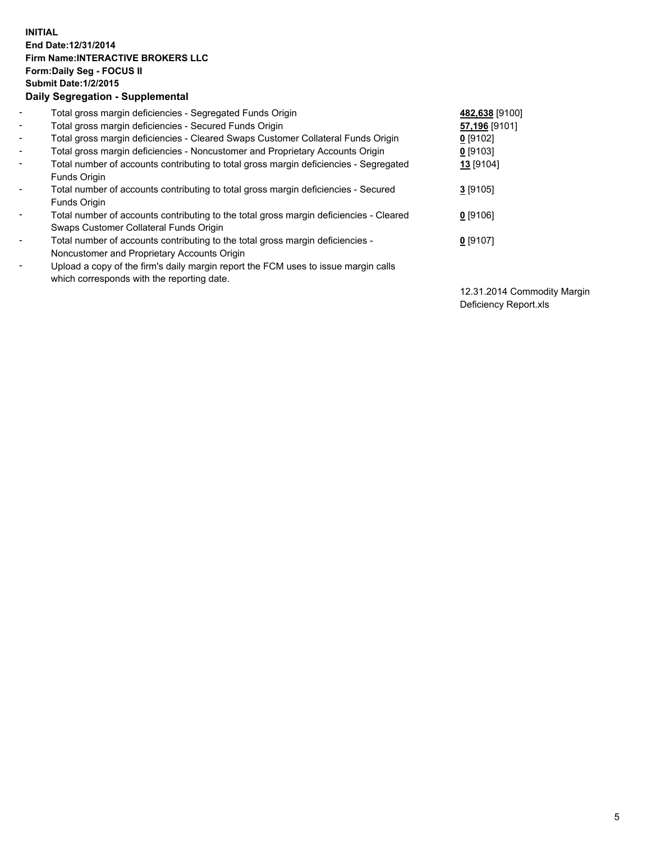## **INITIAL End Date:12/31/2014 Firm Name:INTERACTIVE BROKERS LLC Form:Daily Seg - FOCUS II Submit Date:1/2/2015 Daily Segregation - Supplemental**

| $\blacksquare$ | Total gross margin deficiencies - Segregated Funds Origin                              | 482,638 [9100] |
|----------------|----------------------------------------------------------------------------------------|----------------|
| $\blacksquare$ | Total gross margin deficiencies - Secured Funds Origin                                 | 57,196 [9101]  |
| $\blacksquare$ | Total gross margin deficiencies - Cleared Swaps Customer Collateral Funds Origin       | $0$ [9102]     |
| $\sim$         | Total gross margin deficiencies - Noncustomer and Proprietary Accounts Origin          | $0$ [9103]     |
| $\blacksquare$ | Total number of accounts contributing to total gross margin deficiencies - Segregated  | 13 [9104]      |
|                | Funds Origin                                                                           |                |
| $\blacksquare$ | Total number of accounts contributing to total gross margin deficiencies - Secured     | $3$ [9105]     |
|                | Funds Origin                                                                           |                |
| $\blacksquare$ | Total number of accounts contributing to the total gross margin deficiencies - Cleared | 0 [9106]       |
|                | Swaps Customer Collateral Funds Origin                                                 |                |
| ۰              | Total number of accounts contributing to the total gross margin deficiencies -         | $0$ [9107]     |
|                | Noncustomer and Proprietary Accounts Origin                                            |                |
| Ξ.             | Upload a copy of the firm's daily margin report the FCM uses to issue margin calls     |                |
|                | which corresponds with the reporting date.                                             |                |

12.31.2014 Commodity Margin Deficiency Report.xls